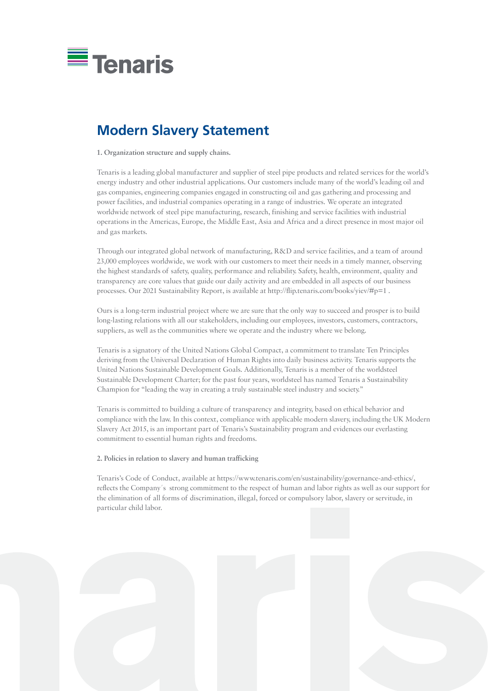

## **Modern Slavery Statement**

**1. Organization structure and supply chains.**

Through our integrated global network of manufacturing, R&D and service facilities, and a team of around 23,000 employees worldwide, we work with our customers to meet their needs in a timely manner, observing the highest standards of safety, quality, performance and reliability. Safety, health, environment, quality and transparency are core values that guide our daily activity and are embedded in all aspects of our business processes. Our 2021 Sustainability Report, is available at http://flip.tenaris.com/books/yiev/#p=1.

Tenaris is a leading global manufacturer and supplier of steel pipe products and related services for the world's energy industry and other industrial applications. Our customers include many of the world's leading oil and gas companies, engineering companies engaged in constructing oil and gas gathering and processing and power facilities, and industrial companies operating in a range of industries. We operate an integrated worldwide network of steel pipe manufacturing, research, finishing and service facilities with industrial operations in the Americas, Europe, the Middle East, Asia and Africa and a direct presence in most major oil and gas markets.

Ours is a long-term industrial project where we are sure that the only way to succeed and prosper is to build long-lasting relations with all our stakeholders, including our employees, investors, customers, contractors, suppliers, as well as the communities where we operate and the industry where we belong.

Tenaris is a signatory of the United Nations Global Compact, a commitment to translate Ten Principles deriving from the Universal Declaration of Human Rights into daily business activity. Tenaris supports the United Nations Sustainable Development Goals. Additionally, Tenaris is a member of the worldsteel Sustainable Development Charter; for the past four years, worldsteel has named Tenaris a Sustainability Champion for "leading the way in creating a truly sustainable steel industry and society."

Tenaris is committed to building a culture of transparency and integrity, based on ethical behavior and compliance with the law. In this context, compliance with applicable modern slavery, including the UK Modern Slavery Act 2015, is an important part of Tenaris's Sustainability program and evidences our everlasting commitment to essential human rights and freedoms.

## **2. Policies in relation to slavery and human trafficking**

Tenaris's Code of Conduct, available at https://www.tenaris.com/en/sustainability/governance-and-ethics/, reflects the Company´s strong commitment to the respect of human and labor rights as well as our support for the elimination of all forms of discrimination, illegal, forced or compulsory labor, slavery or servitude, in particular child labor.

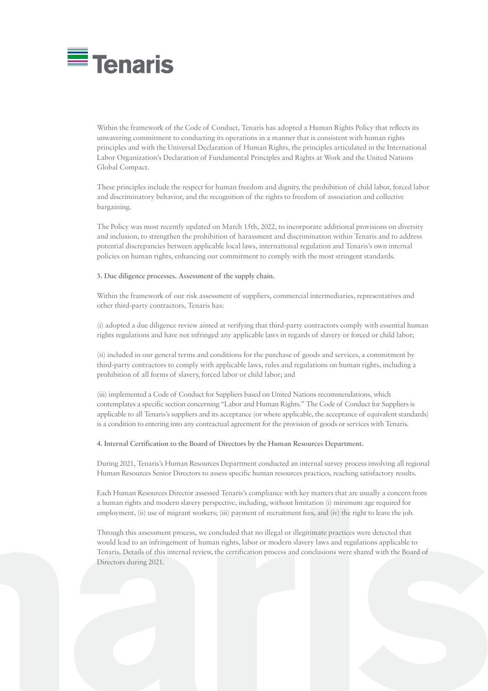Each Human Resources Director assessed Tenaris's compliance with key matters that are usually a concern from a human rights and modern slavery perspective, including, without limitation (i) minimum age required for employment, (ii) use of migrant workers; (iii) payment of recruitment fees, and (iv) the right to leave the job.



Within the framework of the Code of Conduct, Tenaris has adopted a Human Rights Policy that reflects its unwavering commitment to conducting its operations in a manner that is consistent with human rights principles and with the Universal Declaration of Human Rights, the principles articulated in the International Labor Organization's Declaration of Fundamental Principles and Rights at Work and the United Nations Global Compact.

These principles include the respect for human freedom and dignity, the prohibition of child labor, forced labor and discriminatory behavior, and the recognition of the rights to freedom of association and collective bargaining.

The Policy was most recently updated on March 15th, 2022, to incorporate additional provisions on diversity and inclusion, to strengthen the prohibition of harassment and discrimination within Tenaris and to address potential discrepancies between applicable local laws, international regulation and Tenaris's own internal policies on human rights, enhancing our commitment to comply with the most stringent standards.

## **3. Due diligence processes. Assessment of the supply chain.**

Within the framework of our risk assessment of suppliers, commercial intermediaries, representatives and other third-party contractors, Tenaris has:

(i) adopted a due diligence review aimed at verifying that third-party contractors comply with essential human rights regulations and have not infringed any applicable laws in regards of slavery or forced or child labor;

(ii) included in our general terms and conditions for the purchase of goods and services, a commitment by third-party contractors to comply with applicable laws, rules and regulations on human rights, including a prohibition of all forms of slavery, forced labor or child labor; and

(iii) implemented a Code of Conduct for Suppliers based on United Nations recommendations, which contemplates a specific section concerning "Labor and Human Rights." The Code of Conduct for Suppliers is applicable to all Tenaris's suppliers and its acceptance (or where applicable, the acceptance of equivalent standards) is a condition to entering into any contractual agreement for the provision of goods or services with Tenaris.

**4. Internal Certification to the Board of Directors by the Human Resources Department.**

During 2021, Tenaris's Human Resources Department conducted an internal survey process involving all regional Human Resources Senior Directors to assess specific human resources practices, reaching satisfactory results.

Through this assessment process, we concluded that no illegal or illegitimate practices were detected that would lead to an infringement of human rights, labor or modern slavery laws and regulations applicable to Tenaris. Details of this internal review, the certification process and conclusions were shared with the Board of Directors during 2021.